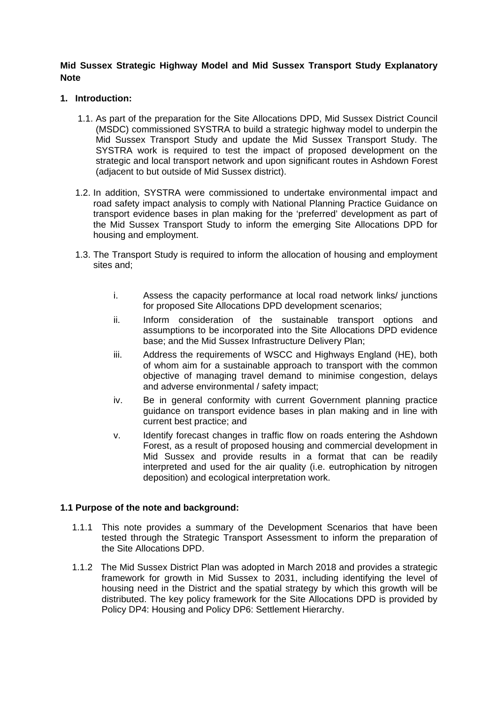**Mid Sussex Strategic Highway Model and Mid Sussex Transport Study Explanatory Note** 

#### **1. Introduction:**

- 1.1. As part of the preparation for the Site Allocations DPD, Mid Sussex District Council (MSDC) commissioned SYSTRA to build a strategic highway model to underpin the Mid Sussex Transport Study and update the Mid Sussex Transport Study. The SYSTRA work is required to test the impact of proposed development on the strategic and local transport network and upon significant routes in Ashdown Forest (adjacent to but outside of Mid Sussex district).
- 1.2. In addition, SYSTRA were commissioned to undertake environmental impact and road safety impact analysis to comply with National Planning Practice Guidance on transport evidence bases in plan making for the 'preferred' development as part of the Mid Sussex Transport Study to inform the emerging Site Allocations DPD for housing and employment.
- 1.3. The Transport Study is required to inform the allocation of housing and employment sites and;
	- i. Assess the capacity performance at local road network links/ junctions for proposed Site Allocations DPD development scenarios;
	- ii. Inform consideration of the sustainable transport options and assumptions to be incorporated into the Site Allocations DPD evidence base; and the Mid Sussex Infrastructure Delivery Plan;
	- iii. Address the requirements of WSCC and Highways England (HE), both of whom aim for a sustainable approach to transport with the common objective of managing travel demand to minimise congestion, delays and adverse environmental / safety impact;
	- iv. Be in general conformity with current Government planning practice guidance on transport evidence bases in plan making and in line with current best practice; and
	- v. Identify forecast changes in traffic flow on roads entering the Ashdown Forest, as a result of proposed housing and commercial development in Mid Sussex and provide results in a format that can be readily interpreted and used for the air quality (i.e. eutrophication by nitrogen deposition) and ecological interpretation work.

#### **1.1 Purpose of the note and background:**

- 1.1.1 This note provides a summary of the Development Scenarios that have been tested through the Strategic Transport Assessment to inform the preparation of the Site Allocations DPD.
- 1.1.2 The Mid Sussex District Plan was adopted in March 2018 and provides a strategic framework for growth in Mid Sussex to 2031, including identifying the level of housing need in the District and the spatial strategy by which this growth will be distributed. The key policy framework for the Site Allocations DPD is provided by Policy DP4: Housing and Policy DP6: Settlement Hierarchy.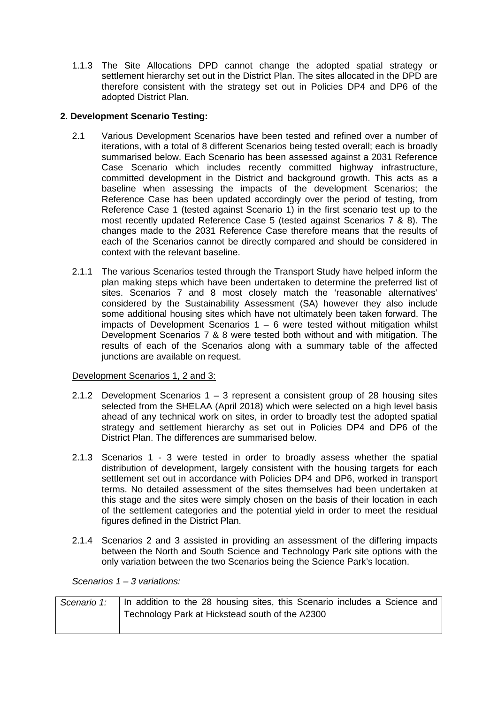1.1.3 The Site Allocations DPD cannot change the adopted spatial strategy or settlement hierarchy set out in the District Plan. The sites allocated in the DPD are therefore consistent with the strategy set out in Policies DP4 and DP6 of the adopted District Plan.

# **2. Development Scenario Testing:**

- 2.1 Various Development Scenarios have been tested and refined over a number of iterations, with a total of 8 different Scenarios being tested overall; each is broadly summarised below. Each Scenario has been assessed against a 2031 Reference Case Scenario which includes recently committed highway infrastructure, committed development in the District and background growth. This acts as a baseline when assessing the impacts of the development Scenarios; the Reference Case has been updated accordingly over the period of testing, from Reference Case 1 (tested against Scenario 1) in the first scenario test up to the most recently updated Reference Case 5 (tested against Scenarios 7 & 8). The changes made to the 2031 Reference Case therefore means that the results of each of the Scenarios cannot be directly compared and should be considered in context with the relevant baseline.
- 2.1.1 The various Scenarios tested through the Transport Study have helped inform the plan making steps which have been undertaken to determine the preferred list of sites. Scenarios 7 and 8 most closely match the 'reasonable alternatives' considered by the Sustainability Assessment (SA) however they also include some additional housing sites which have not ultimately been taken forward. The impacts of Development Scenarios  $1 - 6$  were tested without mitigation whilst Development Scenarios 7 & 8 were tested both without and with mitigation. The results of each of the Scenarios along with a summary table of the affected junctions are available on request.

### Development Scenarios 1, 2 and 3:

- 2.1.2 Development Scenarios 1 3 represent a consistent group of 28 housing sites selected from the SHELAA (April 2018) which were selected on a high level basis ahead of any technical work on sites, in order to broadly test the adopted spatial strategy and settlement hierarchy as set out in Policies DP4 and DP6 of the District Plan. The differences are summarised below.
- 2.1.3 Scenarios 1 3 were tested in order to broadly assess whether the spatial distribution of development, largely consistent with the housing targets for each settlement set out in accordance with Policies DP4 and DP6, worked in transport terms. No detailed assessment of the sites themselves had been undertaken at this stage and the sites were simply chosen on the basis of their location in each of the settlement categories and the potential yield in order to meet the residual figures defined in the District Plan.
- 2.1.4 Scenarios 2 and 3 assisted in providing an assessment of the differing impacts between the North and South Science and Technology Park site options with the only variation between the two Scenarios being the Science Park's location.

*Scenarios 1 – 3 variations:* 

| Scenario 1:   In addition to the 28 housing sites, this Scenario includes a Science and |
|-----------------------------------------------------------------------------------------|
| Technology Park at Hickstead south of the A2300                                         |
|                                                                                         |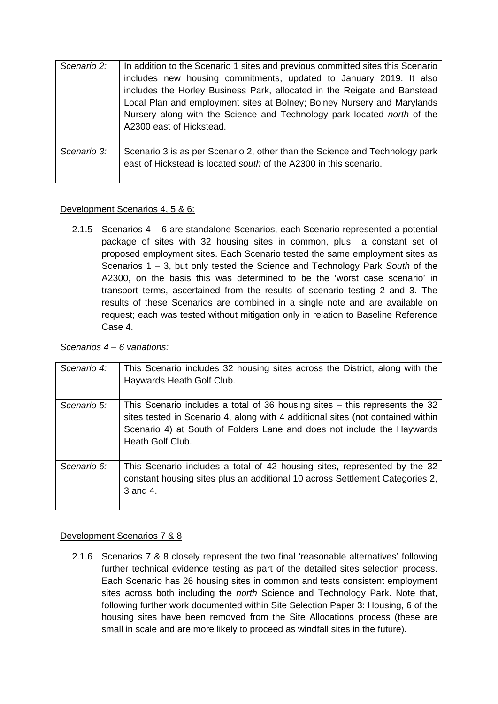| Scenario 2: | In addition to the Scenario 1 sites and previous committed sites this Scenario<br>includes new housing commitments, updated to January 2019. It also<br>includes the Horley Business Park, allocated in the Reigate and Banstead<br>Local Plan and employment sites at Bolney; Bolney Nursery and Marylands<br>Nursery along with the Science and Technology park located north of the<br>A2300 east of Hickstead. |
|-------------|--------------------------------------------------------------------------------------------------------------------------------------------------------------------------------------------------------------------------------------------------------------------------------------------------------------------------------------------------------------------------------------------------------------------|
| Scenario 3: | Scenario 3 is as per Scenario 2, other than the Science and Technology park<br>east of Hickstead is located south of the A2300 in this scenario.                                                                                                                                                                                                                                                                   |

## Development Scenarios 4, 5 & 6:

2.1.5 Scenarios 4 – 6 are standalone Scenarios, each Scenario represented a potential package of sites with 32 housing sites in common, plus a constant set of proposed employment sites. Each Scenario tested the same employment sites as Scenarios 1 – 3, but only tested the Science and Technology Park *South* of the A2300, on the basis this was determined to be the 'worst case scenario' in transport terms, ascertained from the results of scenario testing 2 and 3. The results of these Scenarios are combined in a single note and are available on request; each was tested without mitigation only in relation to Baseline Reference Case 4.

## *Scenarios 4 – 6 variations:*

| Scenario 4: | This Scenario includes 32 housing sites across the District, along with the<br>Haywards Heath Golf Club.                                                                                                                                                     |
|-------------|--------------------------------------------------------------------------------------------------------------------------------------------------------------------------------------------------------------------------------------------------------------|
| Scenario 5: | This Scenario includes a total of 36 housing sites – this represents the 32<br>sites tested in Scenario 4, along with 4 additional sites (not contained within<br>Scenario 4) at South of Folders Lane and does not include the Haywards<br>Heath Golf Club. |
| Scenario 6: | This Scenario includes a total of 42 housing sites, represented by the 32<br>constant housing sites plus an additional 10 across Settlement Categories 2,<br>3 and 4.                                                                                        |

# Development Scenarios 7 & 8

2.1.6 Scenarios 7 & 8 closely represent the two final 'reasonable alternatives' following further technical evidence testing as part of the detailed sites selection process. Each Scenario has 26 housing sites in common and tests consistent employment sites across both including the *north* Science and Technology Park. Note that, following further work documented within Site Selection Paper 3: Housing, 6 of the housing sites have been removed from the Site Allocations process (these are small in scale and are more likely to proceed as windfall sites in the future).